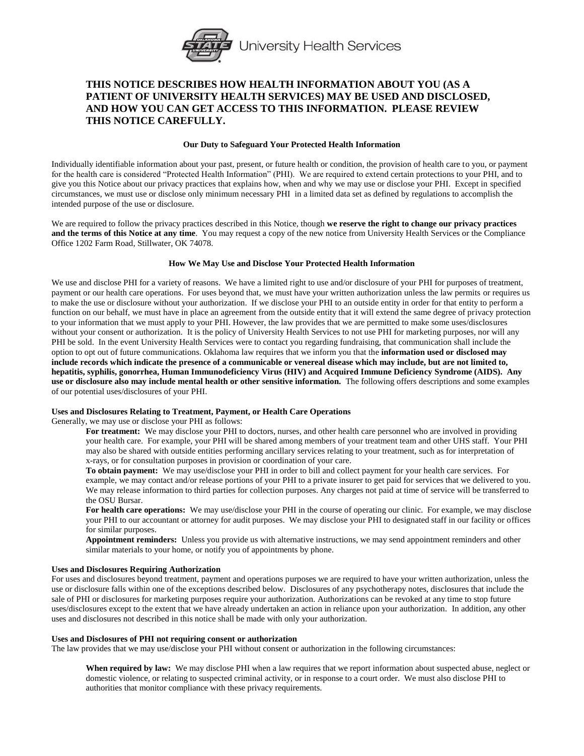

# **THIS NOTICE DESCRIBES HOW HEALTH INFORMATION ABOUT YOU (AS A PATIENT OF UNIVERSITY HEALTH SERVICES) MAY BE USED AND DISCLOSED, AND HOW YOU CAN GET ACCESS TO THIS INFORMATION. PLEASE REVIEW THIS NOTICE CAREFULLY.**

# **Our Duty to Safeguard Your Protected Health Information**

Individually identifiable information about your past, present, or future health or condition, the provision of health care to you, or payment for the health care is considered "Protected Health Information" (PHI). We are required to extend certain protections to your PHI, and to give you this Notice about our privacy practices that explains how, when and why we may use or disclose your PHI. Except in specified circumstances, we must use or disclose only minimum necessary PHI in a limited data set as defined by regulations to accomplish the intended purpose of the use or disclosure.

We are required to follow the privacy practices described in this Notice, though **we reserve the right to change our privacy practices and the terms of this Notice at any time**. You may request a copy of the new notice from University Health Services or the Compliance Office 1202 Farm Road, Stillwater, OK 74078.

# **How We May Use and Disclose Your Protected Health Information**

We use and disclose PHI for a variety of reasons. We have a limited right to use and/or disclosure of your PHI for purposes of treatment, payment or our health care operations. For uses beyond that, we must have your written authorization unless the law permits or requires us to make the use or disclosure without your authorization. If we disclose your PHI to an outside entity in order for that entity to perform a function on our behalf, we must have in place an agreement from the outside entity that it will extend the same degree of privacy protection to your information that we must apply to your PHI. However, the law provides that we are permitted to make some uses/disclosures without your consent or authorization. It is the policy of University Health Services to not use PHI for marketing purposes, nor will any PHI be sold. In the event University Health Services were to contact you regarding fundraising, that communication shall include the option to opt out of future communications. Oklahoma law requires that we inform you that the **information used or disclosed may include records which indicate the presence of a communicable or venereal disease which may include, but are not limited to, hepatitis, syphilis, gonorrhea, Human Immunodeficiency Virus (HIV) and Acquired Immune Deficiency Syndrome (AIDS). Any use or disclosure also may include mental health or other sensitive information.** The following offers descriptions and some examples of our potential uses/disclosures of your PHI.

# **Uses and Disclosures Relating to Treatment, Payment, or Health Care Operations**

Generally, we may use or disclose your PHI as follows:

**For treatment:** We may disclose your PHI to doctors, nurses, and other health care personnel who are involved in providing your health care. For example, your PHI will be shared among members of your treatment team and other UHS staff. Your PHI may also be shared with outside entities performing ancillary services relating to your treatment, such as for interpretation of x-rays, or for consultation purposes in provision or coordination of your care.

**To obtain payment:** We may use/disclose your PHI in order to bill and collect payment for your health care services. For example, we may contact and/or release portions of your PHI to a private insurer to get paid for services that we delivered to you. We may release information to third parties for collection purposes. Any charges not paid at time of service will be transferred to the OSU Bursar.

For health care operations: We may use/disclose your PHI in the course of operating our clinic. For example, we may disclose your PHI to our accountant or attorney for audit purposes. We may disclose your PHI to designated staff in our facility or offices for similar purposes.

**Appointment reminders:** Unless you provide us with alternative instructions, we may send appointment reminders and other similar materials to your home, or notify you of appointments by phone.

#### **Uses and Disclosures Requiring Authorization**

For uses and disclosures beyond treatment, payment and operations purposes we are required to have your written authorization, unless the use or disclosure falls within one of the exceptions described below. Disclosures of any psychotherapy notes, disclosures that include the sale of PHI or disclosures for marketing purposes require your authorization. Authorizations can be revoked at any time to stop future uses/disclosures except to the extent that we have already undertaken an action in reliance upon your authorization. In addition, any other uses and disclosures not described in this notice shall be made with only your authorization.

## **Uses and Disclosures of PHI not requiring consent or authorization**

The law provides that we may use/disclose your PHI without consent or authorization in the following circumstances:

**When required by law:** We may disclose PHI when a law requires that we report information about suspected abuse, neglect or domestic violence, or relating to suspected criminal activity, or in response to a court order. We must also disclose PHI to authorities that monitor compliance with these privacy requirements.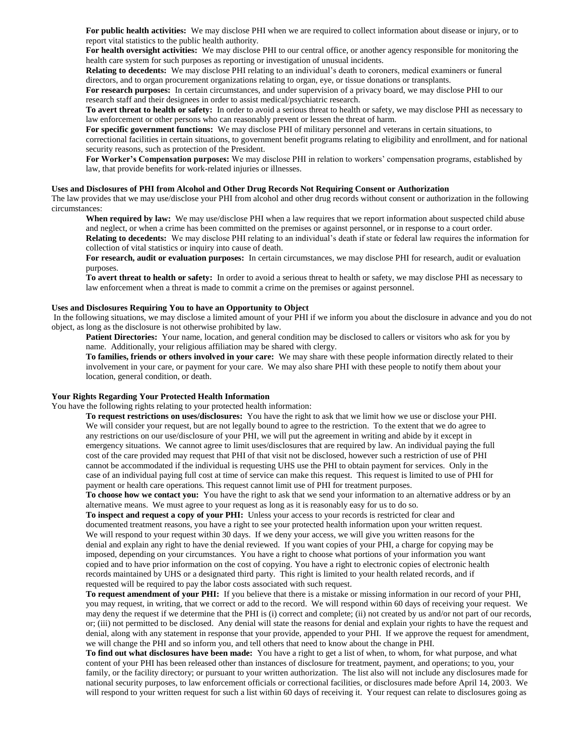**For public health activities:** We may disclose PHI when we are required to collect information about disease or injury, or to report vital statistics to the public health authority.

**For health oversight activities:** We may disclose PHI to our central office, or another agency responsible for monitoring the health care system for such purposes as reporting or investigation of unusual incidents.

**Relating to decedents:** We may disclose PHI relating to an individual's death to coroners, medical examiners or funeral directors, and to organ procurement organizations relating to organ, eye, or tissue donations or transplants.

**For research purposes:** In certain circumstances, and under supervision of a privacy board, we may disclose PHI to our research staff and their designees in order to assist medical/psychiatric research.

**To avert threat to health or safety:** In order to avoid a serious threat to health or safety, we may disclose PHI as necessary to law enforcement or other persons who can reasonably prevent or lessen the threat of harm.

**For specific government functions:** We may disclose PHI of military personnel and veterans in certain situations, to

correctional facilities in certain situations, to government benefit programs relating to eligibility and enrollment, and for national security reasons, such as protection of the President.

**For Worker's Compensation purposes:** We may disclose PHI in relation to workers' compensation programs, established by law, that provide benefits for work-related injuries or illnesses.

#### **Uses and Disclosures of PHI from Alcohol and Other Drug Records Not Requiring Consent or Authorization**

The law provides that we may use/disclose your PHI from alcohol and other drug records without consent or authorization in the following circumstances:

**When required by law:** We may use/disclose PHI when a law requires that we report information about suspected child abuse and neglect, or when a crime has been committed on the premises or against personnel, or in response to a court order.

**Relating to decedents:** We may disclose PHI relating to an individual's death if state or federal law requires the information for collection of vital statistics or inquiry into cause of death.

**For research, audit or evaluation purposes:** In certain circumstances, we may disclose PHI for research, audit or evaluation purposes.

**To avert threat to health or safety:** In order to avoid a serious threat to health or safety, we may disclose PHI as necessary to law enforcement when a threat is made to commit a crime on the premises or against personnel.

## **Uses and Disclosures Requiring You to have an Opportunity to Object**

In the following situations, we may disclose a limited amount of your PHI if we inform you about the disclosure in advance and you do not object, as long as the disclosure is not otherwise prohibited by law.

**Patient Directories:** Your name, location, and general condition may be disclosed to callers or visitors who ask for you by name. Additionally, your religious affiliation may be shared with clergy.

**To families, friends or others involved in your care:** We may share with these people information directly related to their involvement in your care, or payment for your care. We may also share PHI with these people to notify them about your location, general condition, or death.

#### **Your Rights Regarding Your Protected Health Information**

You have the following rights relating to your protected health information:

**To request restrictions on uses/disclosures:** You have the right to ask that we limit how we use or disclose your PHI. We will consider your request, but are not legally bound to agree to the restriction. To the extent that we do agree to any restrictions on our use/disclosure of your PHI, we will put the agreement in writing and abide by it except in emergency situations. We cannot agree to limit uses/disclosures that are required by law. An individual paying the full cost of the care provided may request that PHI of that visit not be disclosed, however such a restriction of use of PHI cannot be accommodated if the individual is requesting UHS use the PHI to obtain payment for services. Only in the case of an individual paying full cost at time of service can make this request. This request is limited to use of PHI for payment or health care operations. This request cannot limit use of PHI for treatment purposes.

**To choose how we contact you:** You have the right to ask that we send your information to an alternative address or by an alternative means. We must agree to your request as long as it is reasonably easy for us to do so.

**To inspect and request a copy of your PHI:** Unless your access to your records is restricted for clear and documented treatment reasons, you have a right to see your protected health information upon your written request. We will respond to your request within 30 days. If we deny your access, we will give you written reasons for the denial and explain any right to have the denial reviewed. If you want copies of your PHI, a charge for copying may be imposed, depending on your circumstances. You have a right to choose what portions of your information you want copied and to have prior information on the cost of copying. You have a right to electronic copies of electronic health records maintained by UHS or a designated third party. This right is limited to your health related records, and if requested will be required to pay the labor costs associated with such request.

**To request amendment of your PHI:** If you believe that there is a mistake or missing information in our record of your PHI, you may request, in writing, that we correct or add to the record. We will respond within 60 days of receiving your request. We may deny the request if we determine that the PHI is (i) correct and complete; (ii) not created by us and/or not part of our records, or; (iii) not permitted to be disclosed. Any denial will state the reasons for denial and explain your rights to have the request and denial, along with any statement in response that your provide, appended to your PHI. If we approve the request for amendment, we will change the PHI and so inform you, and tell others that need to know about the change in PHI.

**To find out what disclosures have been made:** You have a right to get a list of when, to whom, for what purpose, and what content of your PHI has been released other than instances of disclosure for treatment, payment, and operations; to you, your family, or the facility directory; or pursuant to your written authorization. The list also will not include any disclosures made for national security purposes, to law enforcement officials or correctional facilities, or disclosures made before April 14, 2003. We will respond to your written request for such a list within 60 days of receiving it. Your request can relate to disclosures going as